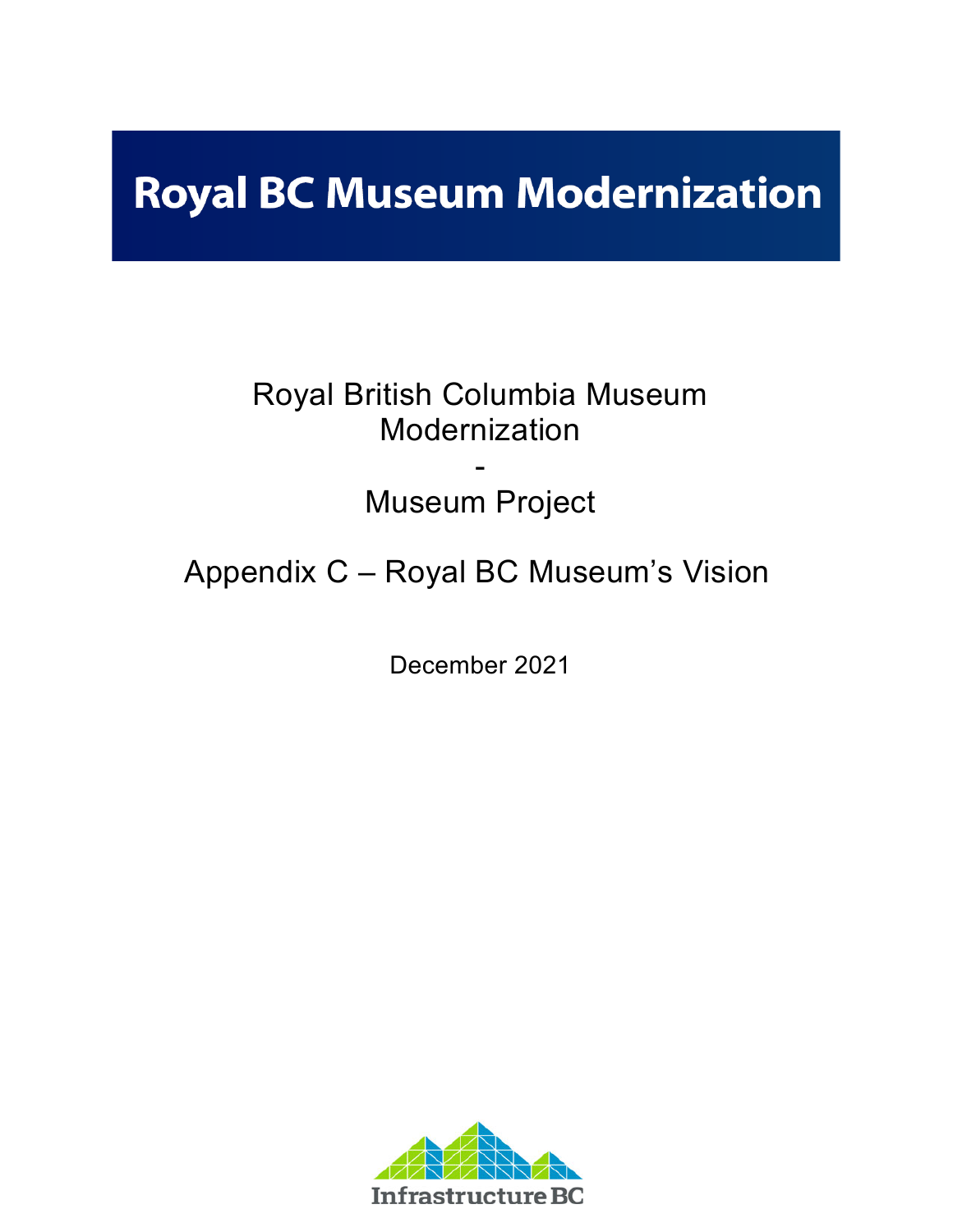# **Royal BC Museum Modernization**

# Royal British Columbia Museum Modernization

# - Museum Project

# Appendix C – Royal BC Museum's Vision

December 2021

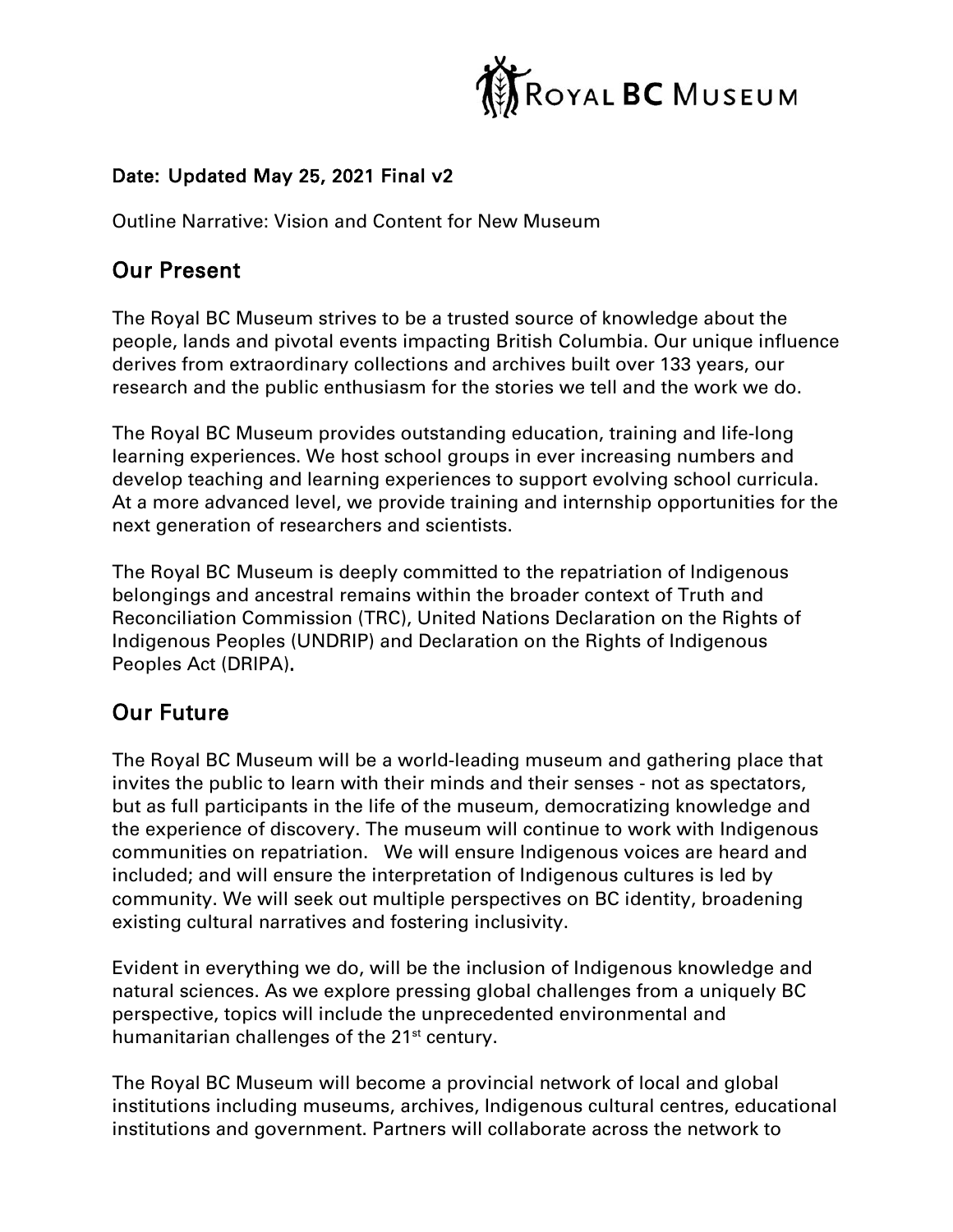

### Date: Updated May 25, 2021 Final v2

Outline Narrative: Vision and Content for New Museum

# Our Present

The Royal BC Museum strives to be a trusted source of knowledge about the people, lands and pivotal events impacting British Columbia. Our unique influence derives from extraordinary collections and archives built over 133 years, our research and the public enthusiasm for the stories we tell and the work we do.

The Royal BC Museum provides outstanding education, training and life-long learning experiences. We host school groups in ever increasing numbers and develop teaching and learning experiences to support evolving school curricula. At a more advanced level, we provide training and internship opportunities for the next generation of researchers and scientists.

The Royal BC Museum is deeply committed to the repatriation of Indigenous belongings and ancestral remains within the broader context of Truth and Reconciliation Commission (TRC), United Nations Declaration on the Rights of Indigenous Peoples (UNDRIP) and Declaration on the Rights of Indigenous Peoples Act (DRIPA).

# Our Future

The Royal BC Museum will be a world-leading museum and gathering place that invites the public to learn with their minds and their senses - not as spectators, but as full participants in the life of the museum, democratizing knowledge and the experience of discovery. The museum will continue to work with Indigenous communities on repatriation. We will ensure Indigenous voices are heard and included; and will ensure the interpretation of Indigenous cultures is led by community. We will seek out multiple perspectives on BC identity, broadening existing cultural narratives and fostering inclusivity.

Evident in everything we do, will be the inclusion of Indigenous knowledge and natural sciences. As we explore pressing global challenges from a uniquely BC perspective, topics will include the unprecedented environmental and humanitarian challenges of the 21<sup>st</sup> century.

The Royal BC Museum will become a provincial network of local and global institutions including museums, archives, Indigenous cultural centres, educational institutions and government. Partners will collaborate across the network to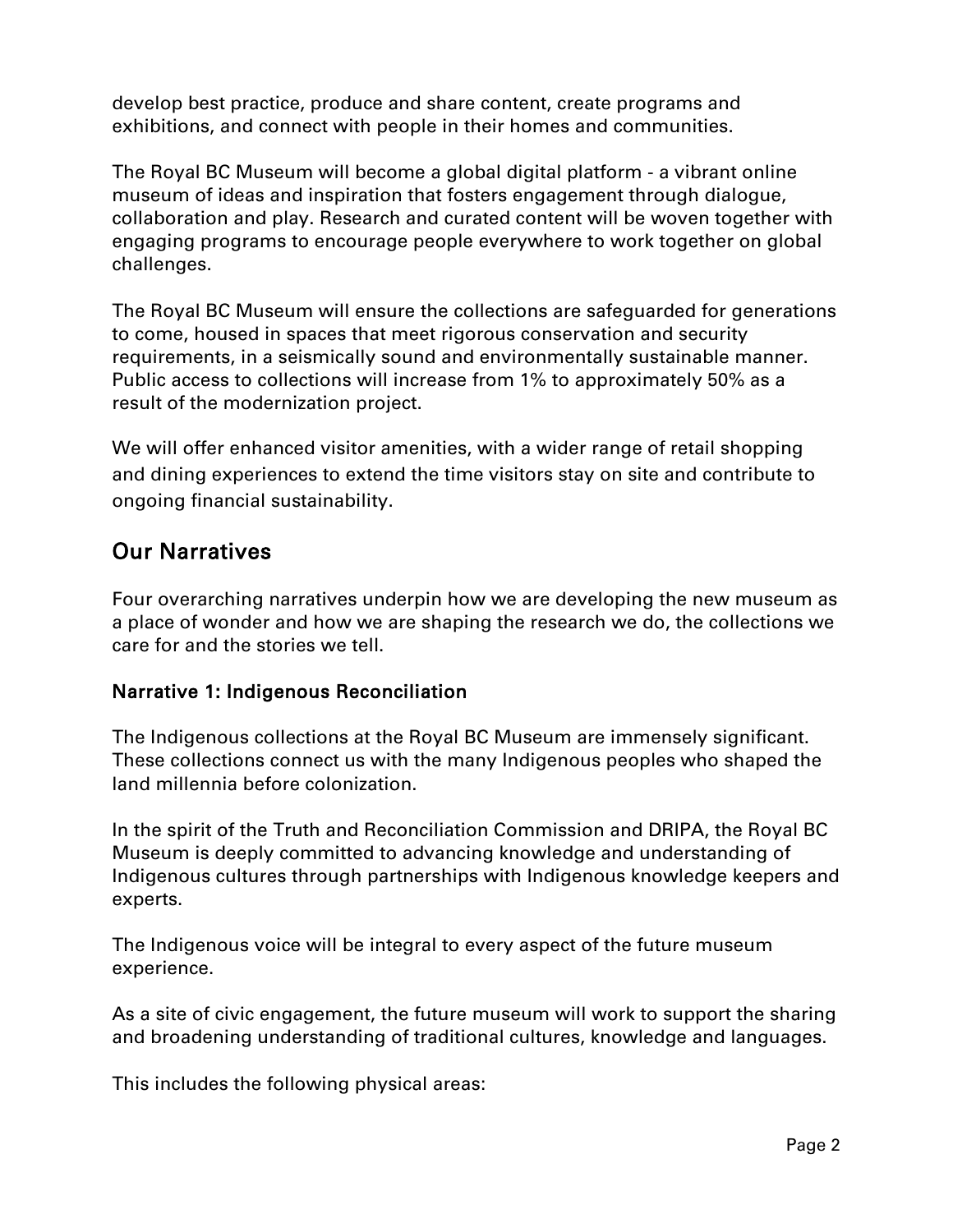develop best practice, produce and share content, create programs and exhibitions, and connect with people in their homes and communities.

The Royal BC Museum will become a global digital platform - a vibrant online museum of ideas and inspiration that fosters engagement through dialogue, collaboration and play. Research and curated content will be woven together with engaging programs to encourage people everywhere to work together on global challenges.

The Royal BC Museum will ensure the collections are safeguarded for generations to come, housed in spaces that meet rigorous conservation and security requirements, in a seismically sound and environmentally sustainable manner. Public access to collections will increase from 1% to approximately 50% as a result of the modernization project.

We will offer enhanced visitor amenities, with a wider range of retail shopping and dining experiences to extend the time visitors stay on site and contribute to ongoing financial sustainability.

## Our Narratives

Four overarching narratives underpin how we are developing the new museum as a place of wonder and how we are shaping the research we do, the collections we care for and the stories we tell.

### Narrative 1: Indigenous Reconciliation

The Indigenous collections at the Royal BC Museum are immensely significant. These collections connect us with the many Indigenous peoples who shaped the land millennia before colonization.

In the spirit of the Truth and Reconciliation Commission and DRIPA, the Royal BC Museum is deeply committed to advancing knowledge and understanding of Indigenous cultures through partnerships with Indigenous knowledge keepers and experts.

The Indigenous voice will be integral to every aspect of the future museum experience.

As a site of civic engagement, the future museum will work to support the sharing and broadening understanding of traditional cultures, knowledge and languages.

This includes the following physical areas: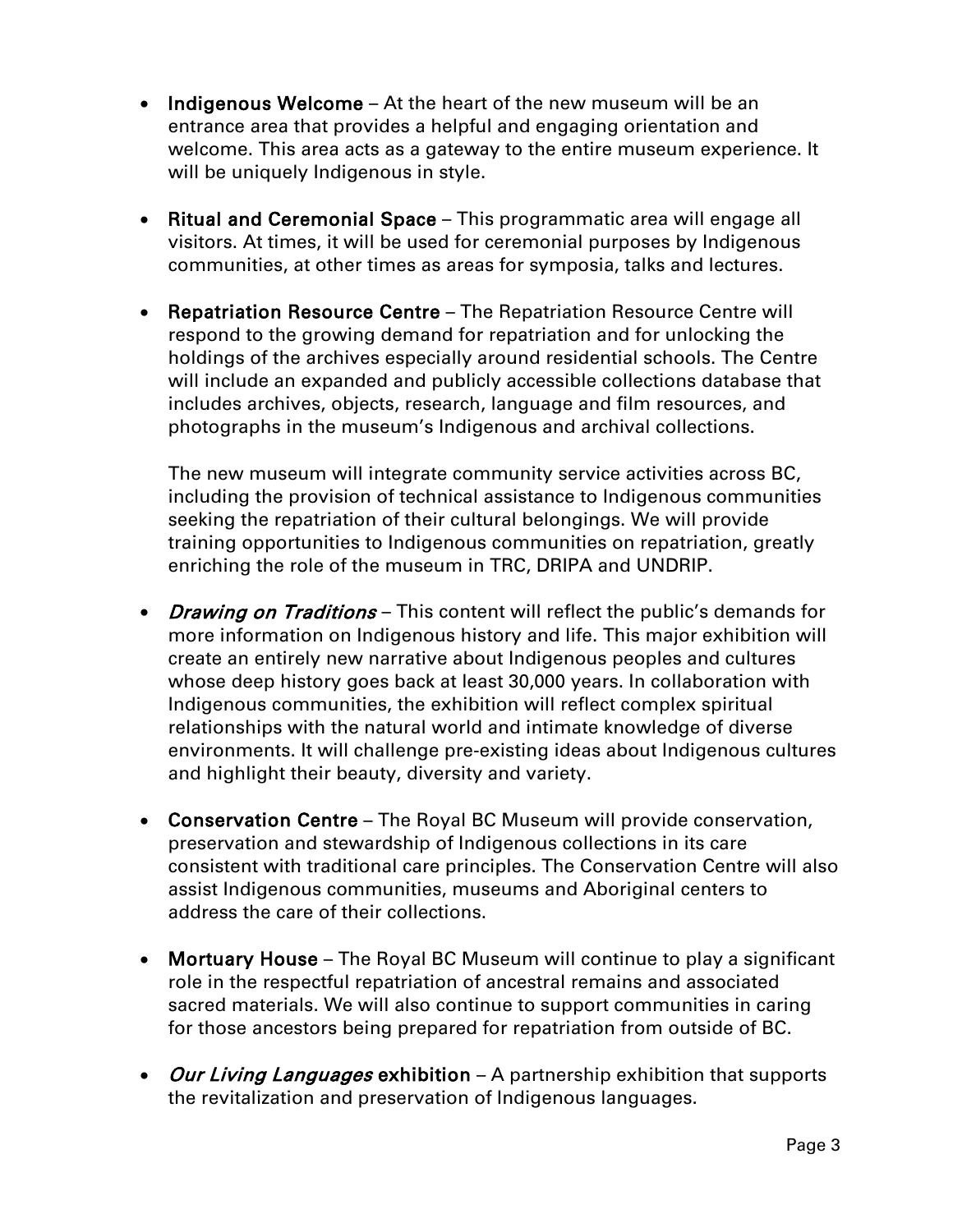- Indigenous Welcome At the heart of the new museum will be an entrance area that provides a helpful and engaging orientation and welcome. This area acts as a gateway to the entire museum experience. It will be uniquely Indigenous in style.
- Ritual and Ceremonial Space This programmatic area will engage all visitors. At times, it will be used for ceremonial purposes by Indigenous communities, at other times as areas for symposia, talks and lectures.
- Repatriation Resource Centre The Repatriation Resource Centre will respond to the growing demand for repatriation and for unlocking the holdings of the archives especially around residential schools. The Centre will include an expanded and publicly accessible collections database that includes archives, objects, research, language and film resources, and photographs in the museum's Indigenous and archival collections.

The new museum will integrate community service activities across BC, including the provision of technical assistance to Indigenous communities seeking the repatriation of their cultural belongings. We will provide training opportunities to Indigenous communities on repatriation, greatly enriching the role of the museum in TRC, DRIPA and UNDRIP.

- Drawing on Traditions This content will reflect the public's demands for more information on Indigenous history and life. This major exhibition will create an entirely new narrative about Indigenous peoples and cultures whose deep history goes back at least 30,000 years. In collaboration with Indigenous communities, the exhibition will reflect complex spiritual relationships with the natural world and intimate knowledge of diverse environments. It will challenge pre-existing ideas about Indigenous cultures and highlight their beauty, diversity and variety.
- Conservation Centre The Royal BC Museum will provide conservation, preservation and stewardship of Indigenous collections in its care consistent with traditional care principles. The Conservation Centre will also assist Indigenous communities, museums and Aboriginal centers to address the care of their collections.
- Mortuary House The Royal BC Museum will continue to play a significant role in the respectful repatriation of ancestral remains and associated sacred materials. We will also continue to support communities in caring for those ancestors being prepared for repatriation from outside of BC.
- Our Living Languages exhibition A partnership exhibition that supports the revitalization and preservation of Indigenous languages.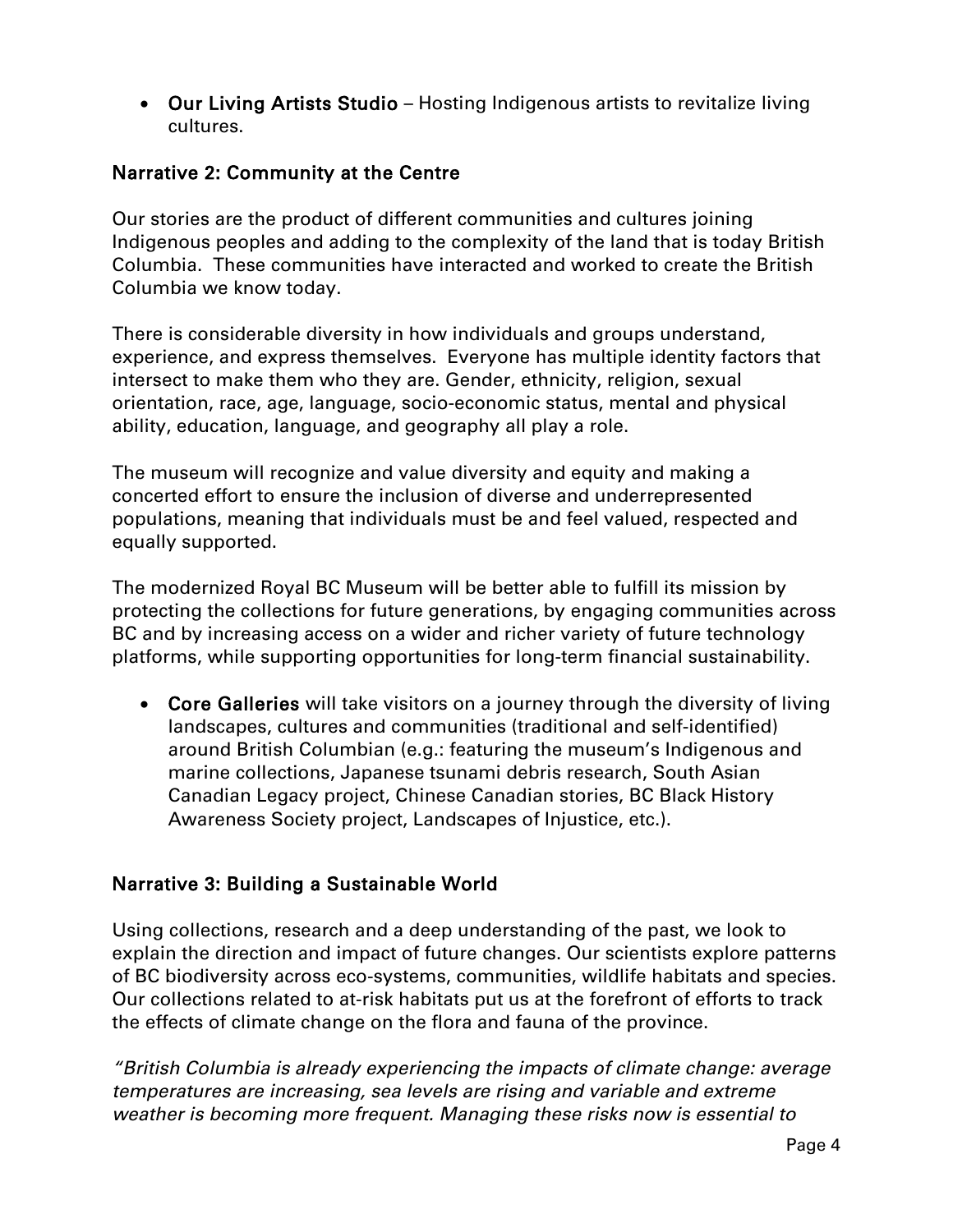• Our Living Artists Studio – Hosting Indigenous artists to revitalize living cultures.

#### Narrative 2: Community at the Centre

Our stories are the product of different communities and cultures joining Indigenous peoples and adding to the complexity of the land that is today British Columbia. These communities have interacted and worked to create the British Columbia we know today.

There is considerable diversity in how individuals and groups understand, experience, and express themselves. Everyone has multiple identity factors that intersect to make them who they are. Gender, ethnicity, religion, sexual orientation, race, age, language, socio-economic status, mental and physical ability, education, language, and geography all play a role.

The museum will recognize and value diversity and equity and making a concerted effort to ensure the inclusion of diverse and underrepresented populations, meaning that individuals must be and feel valued, respected and equally supported.

The modernized Royal BC Museum will be better able to fulfill its mission by protecting the collections for future generations, by engaging communities across BC and by increasing access on a wider and richer variety of future technology platforms, while supporting opportunities for long-term financial sustainability.

• Core Galleries will take visitors on a journey through the diversity of living landscapes, cultures and communities (traditional and self-identified) around British Columbian (e.g.: featuring the museum's Indigenous and marine collections, Japanese tsunami debris research, South Asian Canadian Legacy project, Chinese Canadian stories, BC Black History Awareness Society project, Landscapes of Injustice, etc.).

### Narrative 3: Building a Sustainable World

Using collections, research and a deep understanding of the past, we look to explain the direction and impact of future changes. Our scientists explore patterns of BC biodiversity across eco-systems, communities, wildlife habitats and species. Our collections related to at-risk habitats put us at the forefront of efforts to track the effects of climate change on the flora and fauna of the province.

*"British Columbia is already experiencing the impacts of climate change: average temperatures are increasing, sea levels are rising and variable and extreme weather is becoming more frequent. Managing these risks now is essential to*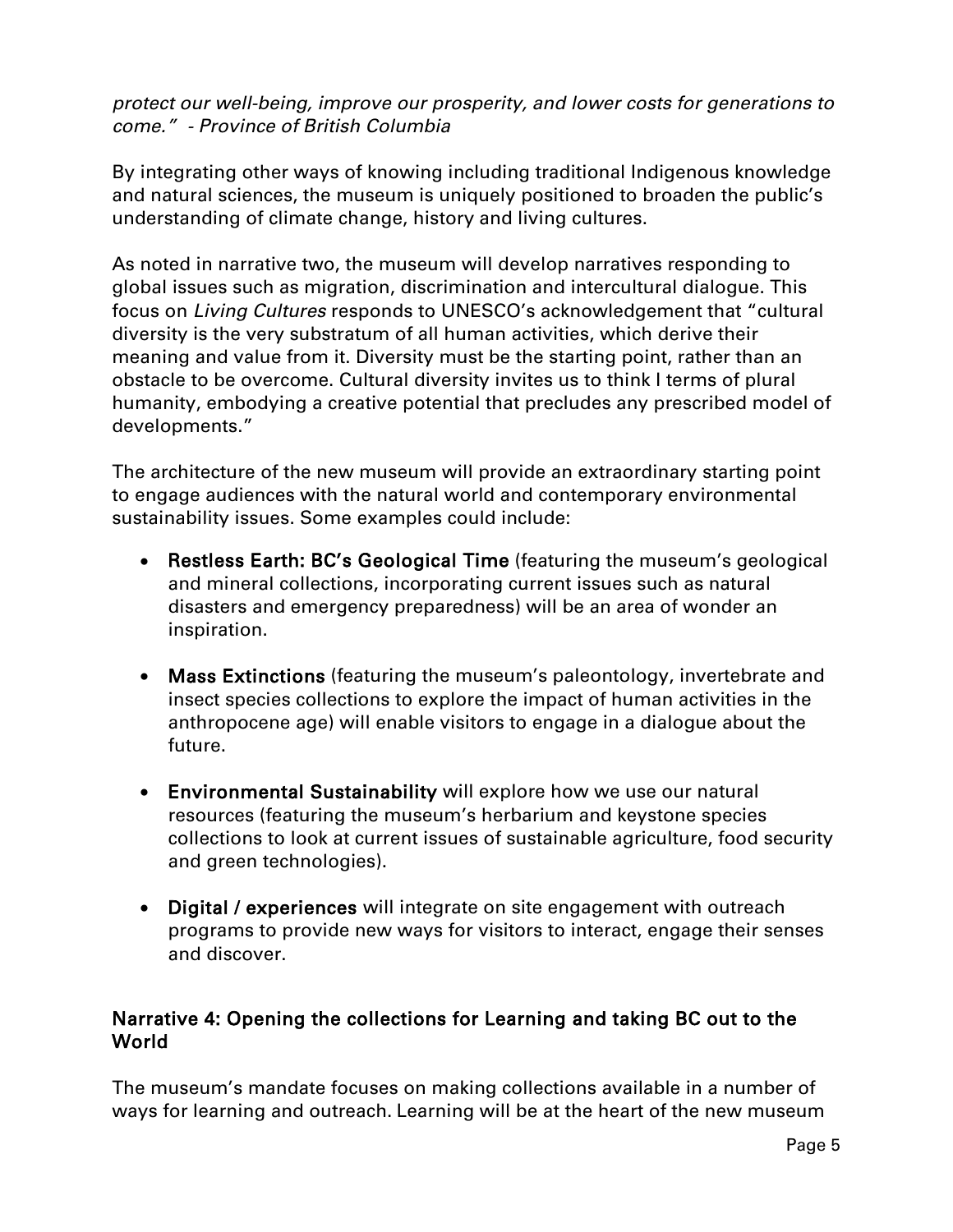#### *protect our well-being, improve our prosperity, and lower costs for generations to come." - Province of British Columbia*

By integrating other ways of knowing including traditional Indigenous knowledge and natural sciences, the museum is uniquely positioned to broaden the public's understanding of climate change, history and living cultures.

As noted in narrative two, the museum will develop narratives responding to global issues such as migration, discrimination and intercultural dialogue. This focus on *Living Cultures* responds to UNESCO's acknowledgement that "cultural diversity is the very substratum of all human activities, which derive their meaning and value from it. Diversity must be the starting point, rather than an obstacle to be overcome. Cultural diversity invites us to think I terms of plural humanity, embodying a creative potential that precludes any prescribed model of developments."

The architecture of the new museum will provide an extraordinary starting point to engage audiences with the natural world and contemporary environmental sustainability issues. Some examples could include:

- Restless Earth: BC's Geological Time (featuring the museum's geological and mineral collections, incorporating current issues such as natural disasters and emergency preparedness) will be an area of wonder an inspiration.
- Mass Extinctions (featuring the museum's paleontology, invertebrate and insect species collections to explore the impact of human activities in the anthropocene age) will enable visitors to engage in a dialogue about the future.
- Environmental Sustainability will explore how we use our natural resources (featuring the museum's herbarium and keystone species collections to look at current issues of sustainable agriculture, food security and green technologies).
- Digital / experiences will integrate on site engagement with outreach programs to provide new ways for visitors to interact, engage their senses and discover.

#### Narrative 4: Opening the collections for Learning and taking BC out to the World

The museum's mandate focuses on making collections available in a number of ways for learning and outreach. Learning will be at the heart of the new museum